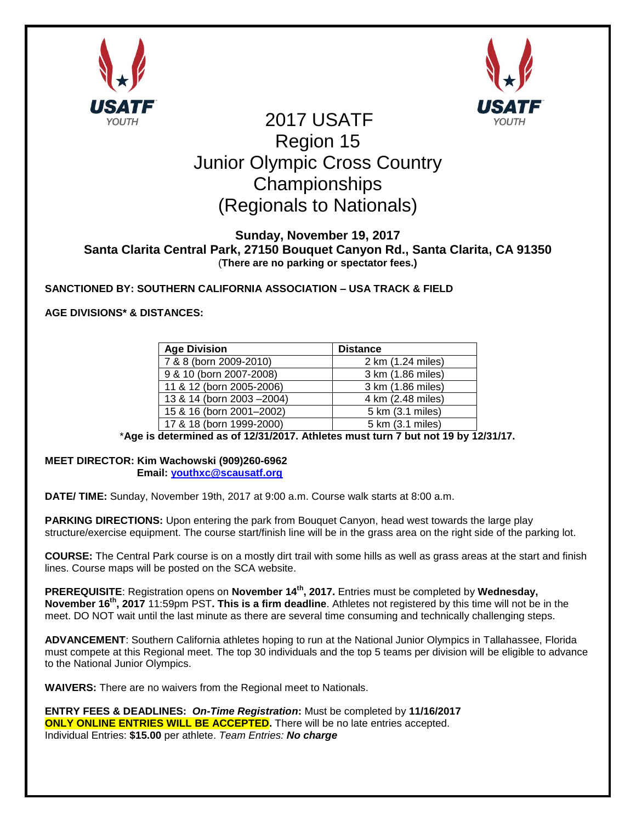



## 2017 USATF Region 15 Junior Olympic Cross Country **Championships** (Regionals to Nationals)

## **Sunday, November 19, 2017 Santa Clarita Central Park, 27150 Bouquet Canyon Rd., Santa Clarita, CA 91350** (**There are no parking or spectator fees.)**

**SANCTIONED BY: SOUTHERN CALIFORNIA ASSOCIATION – USA TRACK & FIELD**

**AGE DIVISIONS\* & DISTANCES:**

| <b>Age Division</b>        | <b>Distance</b>   |
|----------------------------|-------------------|
| 7 & 8 (born 2009-2010)     | 2 km (1.24 miles) |
| 9 & 10 (born 2007-2008)    | 3 km (1.86 miles) |
| 11 & 12 (born 2005-2006)   | 3 km (1.86 miles) |
| 13 & 14 (born 2003 - 2004) | 4 km (2.48 miles) |
| 15 & 16 (born 2001-2002)   | 5 km (3.1 miles)  |
| 17 & 18 (born 1999-2000)   | 5 km (3.1 miles)  |

\***Age is determined as of 12/31/2017. Athletes must turn 7 but not 19 by 12/31/17.**

## **MEET DIRECTOR: Kim Wachowski (909)260-6962 Email: [youthxc@scausatf.org](mailto:youthxc@scausatf.org)**

**DATE/ TIME:** Sunday, November 19th, 2017 at 9:00 a.m. Course walk starts at 8:00 a.m.

**PARKING DIRECTIONS:** Upon entering the park from Bouquet Canyon, head west towards the large play structure/exercise equipment. The course start/finish line will be in the grass area on the right side of the parking lot.

**COURSE:** The Central Park course is on a mostly dirt trail with some hills as well as grass areas at the start and finish lines. Course maps will be posted on the SCA website.

**PREREQUISITE**: Registration opens on **November 14 th, 2017.** Entries must be completed by **Wednesday, November 16th, 2017** 11:59pm PST**. This is a firm deadline**. Athletes not registered by this time will not be in the meet. DO NOT wait until the last minute as there are several time consuming and technically challenging steps.

**ADVANCEMENT**: Southern California athletes hoping to run at the National Junior Olympics in Tallahassee, Florida must compete at this Regional meet. The top 30 individuals and the top 5 teams per division will be eligible to advance to the National Junior Olympics.

**WAIVERS:** There are no waivers from the Regional meet to Nationals.

**ENTRY FEES & DEADLINES:** *On-Time Registration***:** Must be completed by **11/16/2017 ONLY ONLINE ENTRIES WILL BE ACCEPTED.** There will be no late entries accepted. Individual Entries: **\$15.00** per athlete. *Team Entries: No charge*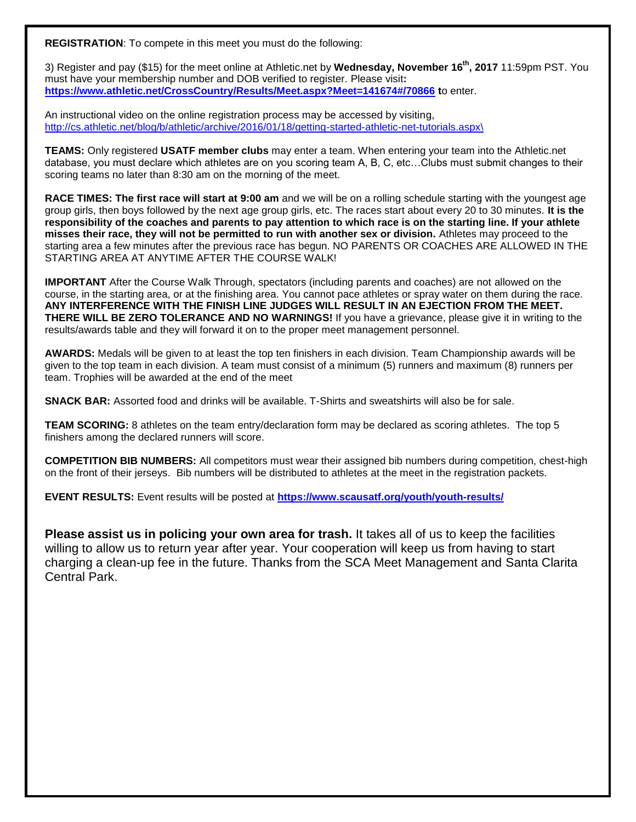**REGISTRATION**: To compete in this meet you must do the following:

3) Register and pay (\$15) for the meet online at Athletic.net by **Wednesday, November 16th, 2017** 11:59pm PST. You must have your membership number and DOB verified to register. Please visit**: <https://www.athletic.net/CrossCountry/Results/Meet.aspx?Meet=141674#/70866> t**o enter.

An instructional video on the online registration process may be accessed by visiting, [http://cs.athletic.net/blog/b/athletic/archive/2016/01/18/getting-started-athletic-net-tutorials.aspx\](http://cs.athletic.net/blog/b/athletic/archive/2016/01/18/getting-started-athletic-net-tutorials.aspx/)

**TEAMS:** Only registered **USATF member clubs** may enter a team. When entering your team into the Athletic.net database, you must declare which athletes are on you scoring team A, B, C, etc…Clubs must submit changes to their scoring teams no later than 8:30 am on the morning of the meet.

**RACE TIMES: The first race will start at 9:00 am** and we will be on a rolling schedule starting with the youngest age group girls, then boys followed by the next age group girls, etc. The races start about every 20 to 30 minutes. **It is the responsibility of the coaches and parents to pay attention to which race is on the starting line. If your athlete misses their race, they will not be permitted to run with another sex or division.** Athletes may proceed to the starting area a few minutes after the previous race has begun. NO PARENTS OR COACHES ARE ALLOWED IN THE STARTING AREA AT ANYTIME AFTER THE COURSE WALK!

**IMPORTANT** After the Course Walk Through, spectators (including parents and coaches) are not allowed on the course, in the starting area, or at the finishing area. You cannot pace athletes or spray water on them during the race. **ANY INTERFERENCE WITH THE FINISH LINE JUDGES WILL RESULT IN AN EJECTION FROM THE MEET. THERE WILL BE ZERO TOLERANCE AND NO WARNINGS!** If you have a grievance, please give it in writing to the results/awards table and they will forward it on to the proper meet management personnel.

**AWARDS:** Medals will be given to at least the top ten finishers in each division. Team Championship awards will be given to the top team in each division. A team must consist of a minimum (5) runners and maximum (8) runners per team. Trophies will be awarded at the end of the meet

**SNACK BAR:** Assorted food and drinks will be available. T-Shirts and sweatshirts will also be for sale.

**TEAM SCORING:** 8 athletes on the team entry/declaration form may be declared as scoring athletes. The top 5 finishers among the declared runners will score.

**COMPETITION BIB NUMBERS:** All competitors must wear their assigned bib numbers during competition, chest-high on the front of their jerseys. Bib numbers will be distributed to athletes at the meet in the registration packets.

**EVENT RESULTS:** Event results will be posted at **<https://www.scausatf.org/youth/youth-results/>**

**Please assist us in policing your own area for trash.** It takes all of us to keep the facilities willing to allow us to return year after year. Your cooperation will keep us from having to start charging a clean-up fee in the future. Thanks from the SCA Meet Management and Santa Clarita Central Park.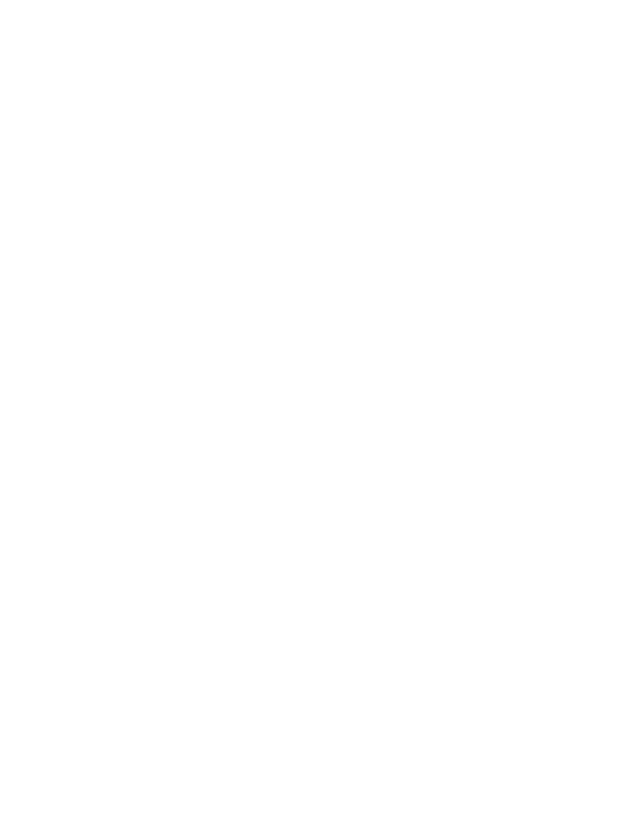REGISTRATION: To compete in this meet you must do the following:

3) Register and pay (\$15) for the meet online at Athletic.net by Wednesday, November  $16^{th}$ , 2017 11:59pm PST. You must have your membership number and DOB verified to register. Please visit: https://www.athletic.net/CrossCountry/Results/Meet.aspx?Meet=141674#/70866 to enter.

An instructional video on the online registration process may be accessed by visiting. http://cs.athletic.net/blog/b/athletic/archive/2016/01/18/getting-started-athletic-net-tutorials.aspx\

TEAMS: Only registered USATF member clubs may enter a team. When entering your team into the Athletic.net GDWDEDVH \RX PXVW GHFODUH ZKLFK DWKOHWHV DUH RQ \RX VFRULQJ WH scoring teams no later than 8:30 am on the morning of the meet.

RACE TIMES: The first race will start at 9:00 am and we will be on a rolling schedule starting with the youngest age group girls, then boys followed by the next age group girls, etc. The races start about every 20 to 30 minutes. It is the responsibility of the coaches and parents to pay attention to which race is on the starting line. If your athlete misses their race, they will not be permitted to run with another sex or division. Athletes may proceed to the starting area a few minutes after the previous race has begun. NO PARENTS OR COACHES ARE ALLOWED IN THE STARTING AREA AT ANYTIME AFTER THE COURSE WALK!

IMPORTANT After the Course Walk Through, spectators (including parents and coaches) are not allowed on the course, in the starting area, or at the finishing area. You cannot pace athletes or spray water on them during the race. ANY INTERFERENCE WITH THE FINISH LINE JUDGES WILL RESULT IN AN EJECTION FROM THE MEET. THERE WILL BE ZERO TOLERANCE AND NO WARNINGS! If you have a grievance, please give it in writing to the results/awards table and they will forward it on to the proper meet management personnel.

AWARDS: Medals will be given to at least the top ten finishers in each division. Team Championship awards will be given to the top team in each division. A team must consist of a minimum (5) runners and maximum (8) runners per team. Trophies will be awarded at the end of the meet

SNACK BAR: Assorted food and drinks will be available. T-Shirts and sweatshirts will also be for sale.

TEAM SCORING: 8 athletes on the team entry/declaration form may be declared as scoring athletes. The top 5 finishers among the declared runners will score.

COMPETITION BIB NUMBERS: All competitors must wear their assigned bib numbers during competition, chest-high on the front of their jerseys. Bib numbers will be distributed to athletes at the meet in the registration packets.

EVENT RESULTS: Event results will be posted at https://www.scausatf.org/youth/yo uth-results/

Please assist us in policing your own area for trash. It takes all of us to keep the facilities willing to allow us to return year after year. Your cooperation will keep us from having to start charging a clean-up fee in the future. Thanks from the SCA Meet Management and Santa Clarita Central Park.